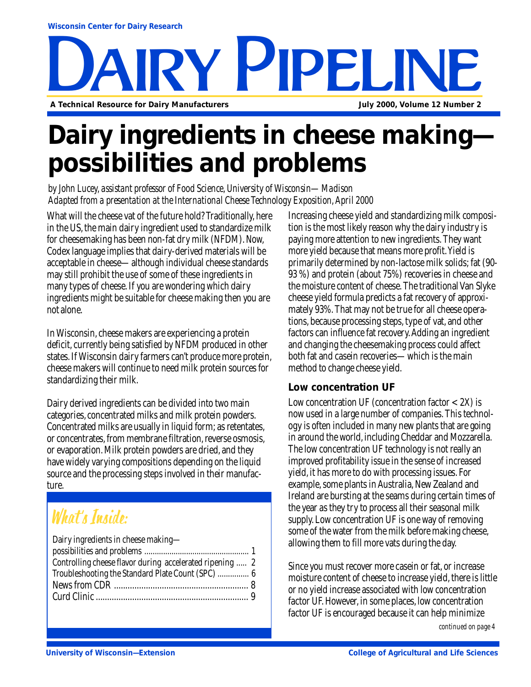# RY PIPELINE **A Technical Resource for Dairy Manufacturers July 2000, Volume 12 Number 2**

# **Dairy ingredients in cheese making possibilities and problems**

*by John Lucey, assistant professor of Food Science, University of Wisconsin—Madison Adapted from a presentation at the International Cheese Technology Exposition, April 2000*

What will the cheese vat of the future hold? Traditionally, here in the US, the main dairy ingredient used to standardize milk for cheesemaking has been non-fat dry milk (NFDM). Now, Codex language implies that dairy-derived materials will be acceptable in cheese—although individual cheese standards may still prohibit the use of some of these ingredients in many types of cheese. If you are wondering which dairy ingredients might be suitable for cheese making then you are not alone.

In Wisconsin, cheese makers are experiencing a protein deficit, currently being satisfied by NFDM produced in other states. If Wisconsin dairy farmers can't produce more protein, cheese makers will continue to need milk protein sources for standardizing their milk.

Dairy derived ingredients can be divided into two main categories, concentrated milks and milk protein powders. Concentrated milks are usually in liquid form; as retentates, or concentrates, from membrane filtration, reverse osmosis, or evaporation. Milk protein powders are dried, and they have widely varying compositions depending on the liquid source and the processing steps involved in their manufacture.

### What's Inside:

| Dairy ingredients in cheese making-                      |  |
|----------------------------------------------------------|--|
|                                                          |  |
| Controlling cheese flavor during accelerated ripening  2 |  |
| Troubleshooting the Standard Plate Count (SPC)  6        |  |
|                                                          |  |
|                                                          |  |

Increasing cheese yield and standardizing milk composition is the most likely reason why the dairy industry is paying more attention to new ingredients. They want more yield because that means more profit. Yield is primarily determined by non-lactose milk solids; fat (90- 93 %) and protein (about 75%) recoveries in cheese and the moisture content of cheese. The traditional Van Slyke cheese yield formula predicts a fat recovery of approximately 93%. That may not be true for all cheese operations, because processing steps, type of vat, and other factors can influence fat recovery. Adding an ingredient and changing the cheesemaking process could affect both fat and casein recoveries—which is the main method to change cheese yield.

### **Low concentration UF**

Low concentration UF (concentration factor  $< 2X$ ) is now used in a large number of companies. This technology is often included in many new plants that are going in around the world, including Cheddar and Mozzarella. The low concentration UF technology is not really an improved profitability issue in the sense of increased yield, it has more to do with processing issues. For example, some plants in Australia, New Zealand and Ireland are bursting at the seams during certain times of the year as they try to process all their seasonal milk supply. Low concentration UF is one way of removing some of the water from the milk before making cheese, allowing them to fill more vats during the day.

Since you must recover more casein or fat, or increase moisture content of cheese to increase yield, there is little or no yield increase associated with low concentration factor UF. However, in some places, low concentration factor UF is encouraged because it can help minimize

*continued on page 4*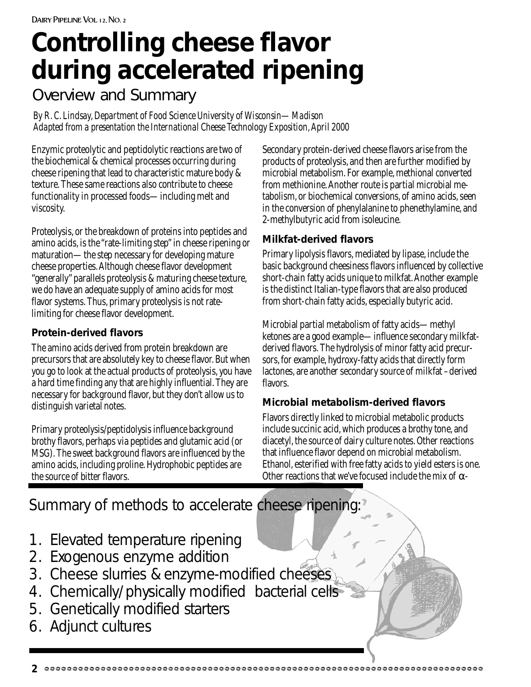# **Controlling cheese flavor during accelerated ripening**

### Overview and Summary

*By R. C. Lindsay, Department of Food Science University of Wisconsin—Madison Adapted from a presentation the International Cheese Technology Exposition, April 2000*

Enzymic proteolytic and peptidolytic reactions are two of the biochemical & chemical processes occurring during cheese ripening that lead to characteristic mature body & texture. These same reactions also contribute to cheese functionality in processed foods—including melt and viscosity.

Proteolysis, or the breakdown of proteins into peptides and amino acids, is the "rate-limiting step" in cheese ripening or maturation—the step necessary for developing mature cheese properties. Although cheese flavor development "generally" parallels proteolysis & maturing cheese texture, we do have an adequate supply of amino acids for most flavor systems. Thus, primary proteolysis is not ratelimiting for cheese flavor development.

### **Protein-derived flavors**

The amino acids derived from protein breakdown are precursors that are absolutely key to cheese flavor. But when you go to look at the actual products of proteolysis, you have a hard time finding any that are highly influential. They are necessary for background flavor, but they don't allow us to distinguish varietal notes.

Primary proteolysis/peptidolysis influence background brothy flavors, perhaps via peptides and glutamic acid (or MSG). The sweet background flavors are influenced by the amino acids, including proline. Hydrophobic peptides are the source of bitter flavors.

Secondary protein-derived cheese flavors arise from the products of proteolysis, and then are further modified by microbial metabolism. For example, methional converted from methionine. Another route is partial microbial metabolism, or biochemical conversions, of amino acids, seen in the conversion of phenylalanine to phenethylamine, and 2-methylbutyric acid from isoleucine.

### **Milkfat-derived flavors**

Primary lipolysis flavors, mediated by lipase, include the basic background cheesiness flavors influenced by collective short-chain fatty acids unique to milkfat. Another example is the distinct Italian-type flavors that are also produced from short-chain fatty acids, especially butyric acid.

Microbial partial metabolism of fatty acids—methyl ketones are a good example—influence secondary milkfatderived flavors. The hydrolysis of minor fatty acid precursors, for example, hydroxy-fatty acids that directly form lactones, are another secondary source of milkfat –derived flavors.

### **Microbial metabolism-derived flavors**

Flavors directly linked to microbial metabolic products include succinic acid, which produces a brothy tone, and diacetyl, the source of dairy culture notes. Other reactions that influence flavor depend on microbial metabolism. Ethanol, esterified with free fatty acids to yield esters is one. Other reactions that we've focused include the mix of  $\alpha$ -

Summary of methods to accelerate cheese ripening:

- 1. Elevated temperature ripening
- 2. Exogenous enzyme addition
- 3. Cheese slurries & enzyme-modified cheeses
- 4. Chemically/physically modified bacterial cells
- 5. Genetically modified starters
- 6. Adjunct cultures

**2**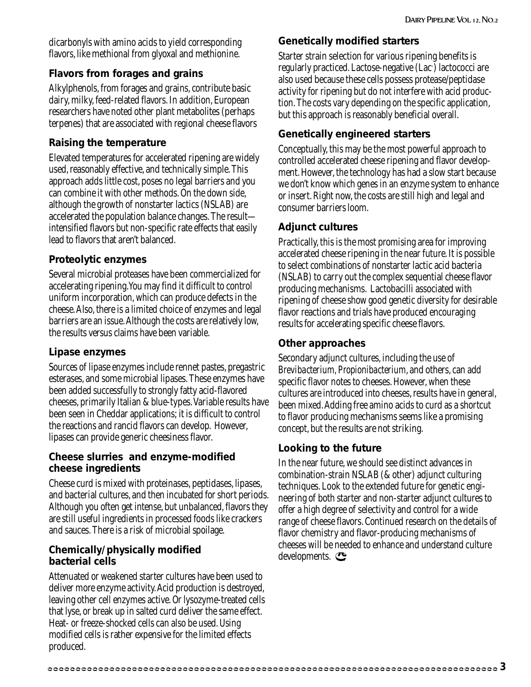dicarbonyls with amino acids to yield corresponding flavors, like methional from glyoxal and methionine.

### **Flavors from forages and grains**

Alkylphenols, from forages and grains, contribute basic dairy, milky, feed-related flavors. In addition, European researchers have noted other plant metabolites (perhaps terpenes) that are associated with regional cheese flavors

### **Raising the temperature**

Elevated temperatures for accelerated ripening are widely used, reasonably effective, and technically simple. This approach adds little cost, poses no legal barriers and you can combine it with other methods. On the down side, although the growth of nonstarter lactics (NSLAB) are accelerated the population balance changes. The result intensified flavors but non-specific rate effects that easily lead to flavors that aren't balanced.

### **Proteolytic enzymes**

Several microbial proteases have been commercialized for accelerating ripening.You may find it difficult to control uniform incorporation, which can produce defects in the cheese. Also, there is a limited choice of enzymes and legal barriers are an issue. Although the costs are relatively low, the results versus claims have been variable.

### **Lipase enzymes**

Sources of lipase enzymes include rennet pastes, pregastric esterases, and some microbial lipases. These enzymes have been added successfully to strongly fatty acid-flavored cheeses, primarily Italian & blue-types. Variable results have been seen in Cheddar applications; it is difficult to control the reactions and rancid flavors can develop. However, lipases can provide generic cheesiness flavor.

### **Cheese slurries and enzyme-modified cheese ingredients**

Cheese curd is mixed with proteinases, peptidases, lipases, and bacterial cultures, and then incubated for short periods. Although you often get intense, but unbalanced, flavors they are still useful ingredients in processed foods like crackers and sauces. There is a risk of microbial spoilage.

#### **Chemically/physically modified bacterial cells**

Attenuated or weakened starter cultures have been used to deliver more enzyme activity. Acid production is destroyed, leaving other cell enzymes active. Or lysozyme-treated cells that lyse, or break up in salted curd deliver the same effect. Heat- or freeze-shocked cells can also be used. Using modified cells is rather expensive for the limited effects produced.

### **Genetically modified starters**

Starter strain selection for various ripening benefits is regularly practiced. Lactose-negative (Lac- ) lactococci are also used because these cells possess protease/peptidase activity for ripening but do not interfere with acid production. The costs vary depending on the specific application, but this approach is reasonably beneficial overall.

### **Genetically engineered starters**

Conceptually, this may be the most powerful approach to controlled accelerated cheese ripening and flavor development. However, the technology has had a slow start because we don't know which genes in an enzyme system to enhance or insert. Right now, the costs are still high and legal and consumer barriers loom.

### **Adjunct cultures**

Practically, this is the most promising area for improving accelerated cheese ripening in the near future. It is possible to select combinations of nonstarter lactic acid bacteria (NSLAB) to carry out the complex sequential cheese flavor producing mechanisms. Lactobacilli associated with ripening of cheese show good genetic diversity for desirable flavor reactions and trials have produced encouraging results for accelerating specific cheese flavors.

#### **Other approaches**

Secondary adjunct cultures, including the use of *Brevibacterium, Propionibacterium*, and others, can add specific flavor notes to cheeses. However, when these cultures are introduced into cheeses, results have in general, been mixed. Adding free amino acids to curd as a shortcut to flavor producing mechanisms seems like a promising concept, but the results are not striking.

### **Looking to the future**

In the near future, we should see distinct advances in combination-strain NSLAB (& other) adjunct culturing techniques. Look to the extended future for genetic engineering of both starter and non-starter adjunct cultures to offer a high degree of selectivity and control for a wide range of cheese flavors. Continued research on the details of flavor chemistry and flavor-producing mechanisms of cheeses will be needed to enhance and understand culture developments.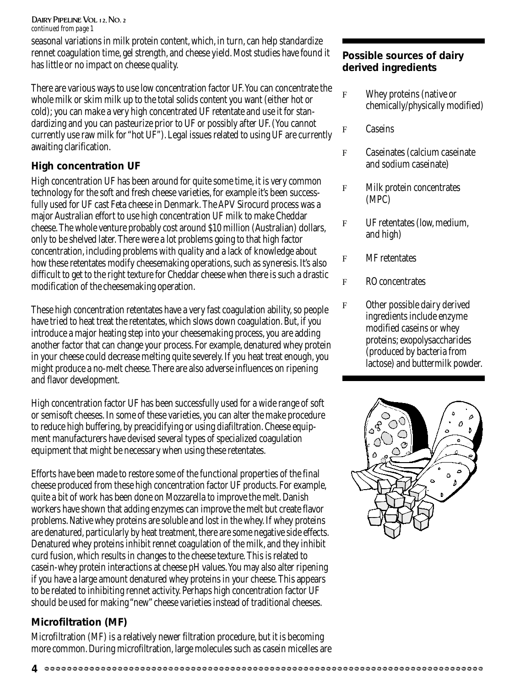DAIRY PIPELINE VOL 12, NO. 2 *continued from page 1*

seasonal variations in milk protein content, which, in turn, can help standardize rennet coagulation time, gel strength, and cheese yield. Most studies have found it has little or no impact on cheese quality.

There are various ways to use low concentration factor UF. You can concentrate the whole milk or skim milk up to the total solids content you want (either hot or cold); you can make a very high concentrated UF retentate and use it for standardizing and you can pasteurize prior to UF or possibly after UF. (You cannot currently use raw milk for "hot UF"). Legal issues related to using UF are currently awaiting clarification.

### **High concentration UF**

High concentration UF has been around for quite some time, it is very common technology for the soft and fresh cheese varieties, for example it's been successfully used for UF cast Feta cheese in Denmark. The APV Sirocurd process was a major Australian effort to use high concentration UF milk to make Cheddar cheese. The whole venture probably cost around \$10 million (Australian) dollars, only to be shelved later. There were a lot problems going to that high factor concentration, including problems with quality and a lack of knowledge about how these retentates modify cheesemaking operations, such as syneresis. It's also difficult to get to the right texture for Cheddar cheese when there is such a drastic modification of the cheesemaking operation.

These high concentration retentates have a very fast coagulation ability, so people have tried to heat treat the retentates, which slows down coagulation. But, if you introduce a major heating step into your cheesemaking process, you are adding another factor that can change your process. For example, denatured whey protein in your cheese could decrease melting quite severely. If you heat treat enough, you might produce a no-melt cheese. There are also adverse influences on ripening and flavor development.

High concentration factor UF has been successfully used for a wide range of soft or semisoft cheeses. In some of these varieties, you can alter the make procedure to reduce high buffering, by preacidifying or using diafiltration. Cheese equipment manufacturers have devised several types of specialized coagulation equipment that might be necessary when using these retentates.

Efforts have been made to restore some of the functional properties of the final cheese produced from these high concentration factor UF products. For example, quite a bit of work has been done on Mozzarella to improve the melt. Danish workers have shown that adding enzymes can improve the melt but create flavor problems. Native whey proteins are soluble and lost in the whey. If whey proteins are denatured, particularly by heat treatment, there are some negative side effects. Denatured whey proteins inhibit rennet coagulation of the milk, and they inhibit curd fusion, which results in changes to the cheese texture. This is related to casein-whey protein interactions at cheese pH values. You may also alter ripening if you have a large amount denatured whey proteins in your cheese. This appears to be related to inhibiting rennet activity. Perhaps high concentration factor UF should be used for making "new" cheese varieties instead of traditional cheeses.

### **Microfiltration (MF)**

Microfiltration (MF) is a relatively newer filtration procedure, but it is becoming more common. During microfiltration, large molecules such as casein micelles are

### **Possible sources of dairy derived ingredients**

- F Whey proteins (native or chemically/physically modified)
- F Caseins
- F Caseinates (calcium caseinate and sodium caseinate)
- F Milk protein concentrates (MPC)
- F UF retentates (low, medium, and high)
- F MF retentates
- F RO concentrates
- F Other possible dairy derived ingredients include enzyme modified caseins or whey proteins; exopolysaccharides (produced by bacteria from lactose) and buttermilk powder.



**<sup>4</sup>**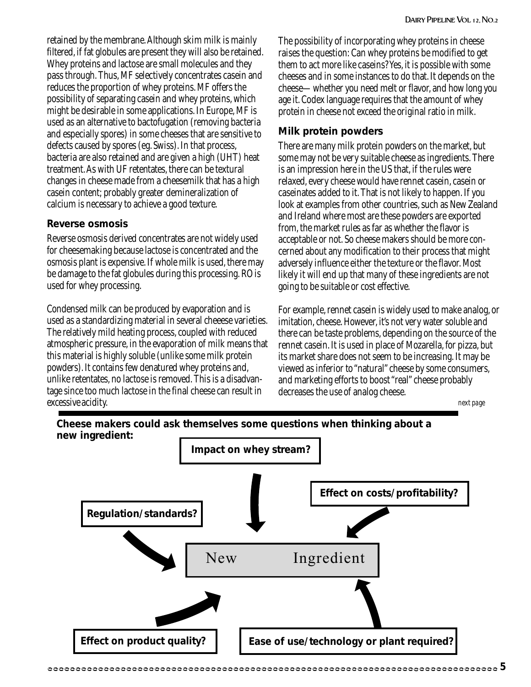retained by the membrane. Although skim milk is mainly filtered, if fat globules are present they will also be retained. Whey proteins and lactose are small molecules and they pass through. Thus, MF selectively concentrates casein and reduces the proportion of whey proteins. MF offers the possibility of separating casein and whey proteins, which might be desirable in some applications. In Europe, MF is used as an alternative to bactofugation (removing bacteria and especially spores) in some cheeses that are sensitive to defects caused by spores (eg. Swiss). In that process, bacteria are also retained and are given a high (UHT) heat treatment. As with UF retentates, there can be textural changes in cheese made from a cheesemilk that has a high casein content; probably greater demineralization of calcium is necessary to achieve a good texture.

#### **Reverse osmosis**

Reverse osmosis derived concentrates are not widely used for cheesemaking because lactose is concentrated and the osmosis plant is expensive. If whole milk is used, there may be damage to the fat globules during this processing. RO is used for whey processing.

Condensed milk can be produced by evaporation and is used as a standardizing material in several cheeese varieties. The relatively mild heating process, coupled with reduced atmospheric pressure, in the evaporation of milk means that this material is highly soluble (unlike some milk protein powders). It contains few denatured whey proteins and, unlike retentates, no lactose is removed. This is a disadvantage since too much lactose in the final cheese can result in excessive acidity.

The possibility of incorporating whey proteins in cheese raises the question: Can whey proteins be modified to get them to act more like caseins? Yes, it is possible with some cheeses and in some instances to do that. It depends on the cheese—whether you need melt or flavor, and how long you age it. Codex language requires that the amount of whey protein in cheese not exceed the original ratio in milk.

### **Milk protein powders**

There are many milk protein powders on the market, but some may not be very suitable cheese as ingredients. There is an impression here in the US that, if the rules were relaxed, every cheese would have rennet casein, casein or caseinates added to it. That is not likely to happen. If you look at examples from other countries, such as New Zealand and Ireland where most are these powders are exported from, the market rules as far as whether the flavor is acceptable or not. So cheese makers should be more concerned about any modification to their process that might adversely influence either the texture or the flavor. Most likely it will end up that many of these ingredients are not going to be suitable or cost effective.

For example, rennet casein is widely used to make analog, or imitation, cheese. However, it's not very water soluble and there can be taste problems, depending on the source of the rennet casein. It is used in place of Mozarella, for pizza, but its market share does not seem to be increasing. It may be viewed as inferior to "natural" cheese by some consumers, and marketing efforts to boost "real" cheese probably decreases the use of analog cheese.

*next page*



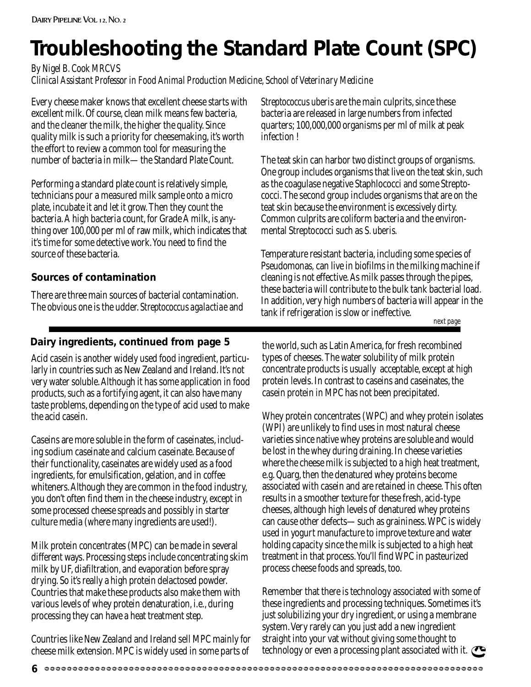## **Troubleshooting the Standard Plate Count (SPC)**

*By Nigel B. Cook MRCVS*

*Clinical Assistant Professor in Food Animal Production Medicine, School of Veterinary Medicine*

Every cheese maker knows that excellent cheese starts with excellent milk. Of course, clean milk means few bacteria, and the cleaner the milk, the higher the quality. Since quality milk is such a priority for cheesemaking, it's worth the effort to review a common tool for measuring the number of bacteria in milk—the Standard Plate Count.

Performing a standard plate count is relatively simple, technicians pour a measured milk sample onto a micro plate, incubate it and let it grow. Then they count the bacteria. A high bacteria count, for Grade A milk, is anything over 100,000 per ml of raw milk, which indicates that it's time for some detective work. You need to find the source of these bacteria.

### **Sources of contamination**

There are three main sources of bacterial contamination. The obvious one is the udder. *Streptococcus agalactiae* and

### **Dairy ingredients, continued from page 5**

Acid casein is another widely used food ingredient, particularly in countries such as New Zealand and Ireland. It's not very water soluble. Although it has some application in food products, such as a fortifying agent, it can also have many taste problems, depending on the type of acid used to make the acid casein.

Caseins are more soluble in the form of caseinates, including sodium caseinate and calcium caseinate. Because of their functionality, caseinates are widely used as a food ingredients, for emulsification, gelation, and in coffee whiteners. Although they are common in the food industry, you don't often find them in the cheese industry, except in some processed cheese spreads and possibly in starter culture media (where many ingredients are used!).

Milk protein concentrates (MPC) can be made in several different ways. Processing steps include concentrating skim milk by UF, diafiltration, and evaporation before spray drying. So it's really a high protein delactosed powder. Countries that make these products also make them with various levels of whey protein denaturation, i.e., during processing they can have a heat treatment step.

Countries like New Zealand and Ireland sell MPC mainly for cheese milk extension. MPC is widely used in some parts of

*Streptococcus uberis* are the main culprits, since these bacteria are released in large numbers from infected quarters; 100,000,000 organisms per ml of milk at peak infection !

The teat skin can harbor two distinct groups of organisms. One group includes organisms that live on the teat skin, such as the coagulase negative Staphlococci and some Streptococci. The second group includes organisms that are on the teat skin because the environment is excessively dirty. Common culprits are coliform bacteria and the environmental Streptococci such as *S. uberis.*

Temperature resistant bacteria, including some species of Pseudomona*s,* can live in biofilms in the milking machine if cleaning is not effective. As milk passes through the pipes, these bacteria will contribute to the bulk tank bacterial load. In addition, very high numbers of bacteria will appear in the tank if refrigeration is slow or ineffective.

*next page*

the world, such as Latin America, for fresh recombined types of cheeses. The water solubility of milk protein concentrate products is usually acceptable, except at high protein levels. In contrast to caseins and caseinates, the casein protein in MPC has not been precipitated.

Whey protein concentrates (WPC) and whey protein isolates (WPI) are unlikely to find uses in most natural cheese varieties since native whey proteins are soluble and would be lost in the whey during draining. In cheese varieties where the cheese milk is subjected to a high heat treatment, e.g. Quarg, then the denatured whey proteins become associated with casein and are retained in cheese. This often results in a smoother texture for these fresh, acid-type cheeses, although high levels of denatured whey proteins can cause other defects—such as graininess. WPC is widely used in yogurt manufacture to improve texture and water holding capacity since the milk is subjected to a high heat treatment in that process. You'll find WPC in pasteurized process cheese foods and spreads, too.

Remember that there is technology associated with some of these ingredients and processing techniques. Sometimes it's just solubilizing your dry ingredient, or using a membrane system. Very rarely can you just add a new ingredient straight into your vat without giving some thought to technology or even a processing plant associated with it.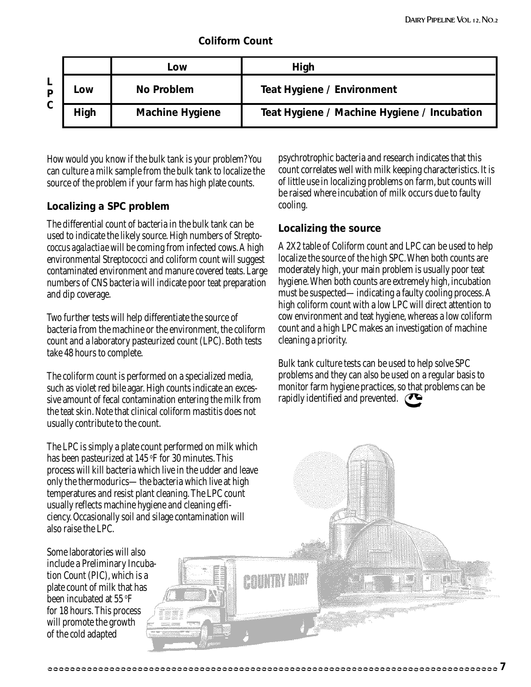|  | <b>Coliform Count</b> |
|--|-----------------------|
|  |                       |

|   |      | LOW                    | High                                        |
|---|------|------------------------|---------------------------------------------|
|   | Low  | No Problem             | <b>Teat Hygiene / Environment</b>           |
| C | High | <b>Machine Hygiene</b> | Teat Hygiene / Machine Hygiene / Incubation |

How would you know if the bulk tank is your problem? You can culture a milk sample from the bulk tank to localize the source of the problem if your farm has high plate counts.

### **Localizing a SPC problem**

The differential count of bacteria in the bulk tank can be used to indicate the likely source. High numbers of *Streptococcus agalactiae* will be coming from infected cows. A high environmental Streptococci and coliform count will suggest contaminated environment and manure covered teats. Large numbers of CNS bacteria will indicate poor teat preparation and dip coverage.

Two further tests will help differentiate the source of bacteria from the machine or the environment, the coliform count and a laboratory pasteurized count (LPC). Both tests take 48 hours to complete.

The coliform count is performed on a specialized media, such as violet red bile agar. High counts indicate an excessive amount of fecal contamination entering the milk from the teat skin. Note that clinical coliform mastitis does not usually contribute to the count.

The LPC is simply a plate count performed on milk which has been pasteurized at 145 °F for 30 minutes. This process will kill bacteria which live in the udder and leave only the thermodurics—the bacteria which live at high temperatures and resist plant cleaning. The LPC count usually reflects machine hygiene and cleaning efficiency. Occasionally soil and silage contamination will also raise the LPC.

Some laboratories will also include a Preliminary Incubation Count (PIC), which is a plate count of milk that has been incubated at 55 °F for 18 hours. This process will promote the growth of the cold adapted

psychrotrophic bacteria and research indicates that this count correlates well with milk keeping characteristics. It is of little use in localizing problems on farm, but counts will be raised where incubation of milk occurs due to faulty cooling.

#### **Localizing the source**

A 2X2 table of Coliform count and LPC can be used to help localize the source of the high SPC. When both counts are moderately high, your main problem is usually poor teat hygiene. When both counts are extremely high, incubation must be suspected—indicating a faulty cooling process. A high coliform count with a low LPC will direct attention to cow environment and teat hygiene, whereas a low coliform count and a high LPC makes an investigation of machine cleaning a priority.

Bulk tank culture tests can be used to help solve SPC problems and they can also be used on a regular basis to monitor farm hygiene practices, so that problems can be rapidly identified and prevented.  $\bullet$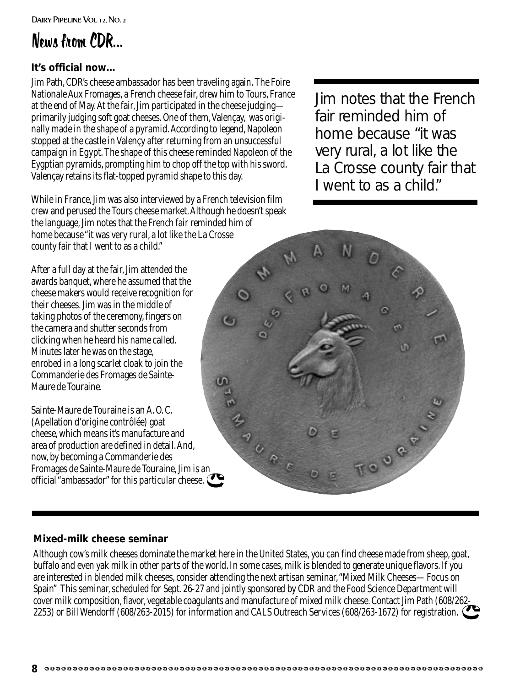### News from CDR...

### **It's official now…**

Jim Path, CDR's cheese ambassador has been traveling again. The Foire Nationale Aux Fromages, a French cheese fair, drew him to Tours, France at the end of May. At the fair, Jim participated in the cheese judging primarily judging soft goat cheeses. One of them, Valençay, was originally made in the shape of a pyramid. According to legend, Napoleon stopped at the castle in Valençy after returning from an unsuccessful campaign in Egypt. The shape of this cheese reminded Napoleon of the Eygptian pyramids, prompting him to chop off the top with his sword. Valençay retains its flat-topped pyramid shape to this day.

While in France, Jim was also interviewed by a French television film crew and perused the Tours cheese market. Although he doesn't speak the language, Jim notes that the French fair reminded him of home because "it was very rural, a lot like the La Crosse county fair that I went to as a child."

After a full day at the fair, Jim attended the awards banquet, where he assumed that the cheese makers would receive recognition for their cheeses. Jim was in the middle of taking photos of the ceremony, fingers on the camera and shutter seconds from clicking when he heard his name called. Minutes later he was on the stage, enrobed in a long scarlet cloak to join the Commanderie des Fromages de Sainte-Maure de Touraine.

Sainte-Maure de Touraine is an A. O. C. (Apellation d'origine contrôlée) goat cheese, which means it's manufacture and area of production are defined in detail. And, now, by becoming a Commanderie des Fromages de Sainte-Maure de Touraine, Jim is an official "ambassador" for this particular cheese. Jim notes that the French fair reminded him of home because "it was very rural, a lot like the La Crosse county fair that I went to as a child."



### **Mixed-milk cheese seminar**

Although cow's milk cheeses dominate the market here in the United States, you can find cheese made from sheep, goat, buffalo and even yak milk in other parts of the world. In some cases, milk is blended to generate unique flavors. If you are interested in blended milk cheeses, consider attending the next artisan seminar, "Mixed Milk Cheeses—Focus on Spain" This seminar, scheduled for Sept. 26-27 and jointly sponsored by CDR and the Food Science Department will cover milk composition, flavor, vegetable coagulants and manufacture of mixed milk cheese. Contact Jim Path (608/262- 2253) or Bill Wendorff (608/263-2015) for information and CALS Outreach Services (608/263-1672) for registration.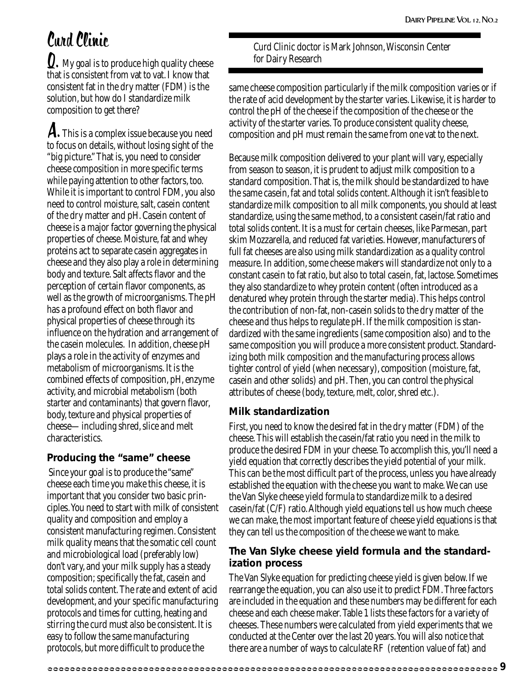### Curd Clinic

 $\mathbf{Q}.$  My goal is to produce high quality cheese that is consistent from vat to vat. I know that consistent fat in the dry matter (FDM) is the solution, but how do I standardize milk composition to get there?

A. This is a complex issue because you need to focus on details, without losing sight of the "big picture." That is, you need to consider cheese composition in more specific terms while paying attention to other factors, too. While it is important to control FDM, you also need to control moisture, salt, casein content of the dry matter and pH. Casein content of cheese is a major factor governing the physical properties of cheese. Moisture, fat and whey proteins act to separate casein aggregates in cheese and they also play a role in determining body and texture. Salt affects flavor and the perception of certain flavor components, as well as the growth of microorganisms. The pH has a profound effect on both flavor and physical properties of cheese through its influence on the hydration and arrangement of the casein molecules. In addition, cheese pH plays a role in the activity of enzymes and metabolism of microorganisms. It is the combined effects of composition, pH, enzyme activity, and microbial metabolism (both starter and contaminants) that govern flavor, body, texture and physical properties of cheese—including shred, slice and melt characteristics.

### **Producing the "same" cheese**

 Since your goal is to produce the "same" cheese each time you make this cheese, it is important that you consider two basic principles. You need to start with milk of consistent quality and composition and employ a consistent manufacturing regimen. Consistent milk quality means that the somatic cell count and microbiological load (preferably low) don't vary, and your milk supply has a steady composition; specifically the fat, casein and total solids content. The rate and extent of acid development, and your specific manufacturing protocols and times for cutting, heating and stirring the curd must also be consistent. It is easy to follow the same manufacturing protocols, but more difficult to produce the

Curd Clinic doctor is Mark Johnson, Wisconsin Center for Dairy Research

same cheese composition particularly if the milk composition varies or if the rate of acid development by the starter varies. Likewise, it is harder to control the pH of the cheese if the composition of the cheese or the activity of the starter varies. To produce consistent quality cheese, composition and pH must remain the same from one vat to the next.

Because milk composition delivered to your plant will vary, especially from season to season, it is prudent to adjust milk composition to a standard composition. That is, the milk should be standardized to have the same casein, fat and total solids content. Although it isn't feasible to standardize milk composition to all milk components, you should at least standardize, using the same method, to a consistent casein/fat ratio and total solids content. It is a must for certain cheeses, like Parmesan, part skim Mozzarella, and reduced fat varieties. However, manufacturers of full fat cheeses are also using milk standardization as a quality control measure. In addition, some cheese makers will standardize not only to a constant casein to fat ratio, but also to total casein, fat, lactose. Sometimes they also standardize to whey protein content (often introduced as a denatured whey protein through the starter media). This helps control the contribution of non-fat, non-casein solids to the dry matter of the cheese and thus helps to regulate pH. If the milk composition is standardized with the same ingredients (same composition also) and to the same composition you will produce a more consistent product. Standardizing both milk composition and the manufacturing process allows tighter control of yield (when necessary), composition (moisture, fat, casein and other solids) and pH. Then, you can control the physical attributes of cheese (body, texture, melt, color, shred etc.).

### **Milk standardization**

First, you need to know the desired fat in the dry matter (FDM) of the cheese. This will establish the casein/fat ratio you need in the milk to produce the desired FDM in your cheese. To accomplish this, you'll need a yield equation that correctly describes the yield potential of your milk. This can be the most difficult part of the process, unless you have already established the equation with the cheese you want to make. We can use the Van Slyke cheese yield formula to standardize milk to a desired casein/fat (C/F) ratio. Although yield equations tell us how much cheese we can make, the most important feature of cheese yield equations is that they can tell us the composition of the cheese we want to make.

### **The Van Slyke cheese yield formula and the standardization process**

The Van Slyke equation for predicting cheese yield is given below. If we rearrange the equation, you can also use it to predict FDM. Three factors are included in the equation and these numbers may be different for each cheese and each cheese maker. Table 1 lists these factors for a variety of cheeses. These numbers were calculated from yield experiments that we conducted at the Center over the last 20 years. You will also notice that there are a number of ways to calculate RF (retention value of fat) and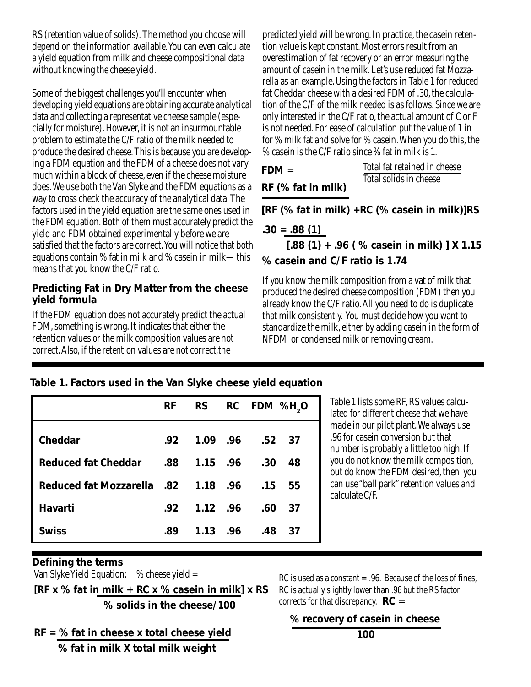RS (retention value of solids). The method you choose will depend on the information available. You can even calculate a yield equation from milk and cheese compositional data without knowing the cheese yield.

Some of the biggest challenges you'll encounter when developing yield equations are obtaining accurate analytical data and collecting a representative cheese sample (especially for moisture). However, it is not an insurmountable problem to estimate the C/F ratio of the milk needed to produce the desired cheese. This is because you are developing a FDM equation and the FDM of a cheese does not vary much within a block of cheese, even if the cheese moisture does. We use both the Van Slyke and the FDM equations as a way to cross check the accuracy of the analytical data. The factors used in the yield equation are the same ones used in the FDM equation. Both of them must accurately predict the yield and FDM obtained experimentally before we are satisfied that the factors are correct. You will notice that both equations contain % fat in milk and % casein in milk—this means that you know the C/F ratio.

### **Predicting Fat in Dry Matter from the cheese yield formula**

If the FDM equation does not accurately predict the actual FDM, something is wrong. It indicates that either the retention values or the milk composition values are not correct. Also, if the retention values are not correct,the

predicted yield will be wrong. In practice, the casein retention value is kept constant. Most errors result from an overestimation of fat recovery or an error measuring the amount of casein in the milk. Let's use reduced fat Mozzarella as an example. Using the factors in Table 1 for reduced fat Cheddar cheese with a desired FDM of .30, the calculation of the C/F of the milk needed is as follows. Since we are only interested in the C/F ratio, the actual amount of C or F is not needed. For ease of calculation put the value of 1 in for % milk fat and solve for % casein. When you do this, the % casein is the C/F ratio since % fat in milk is 1.

| $FDM =$            | Total fat retained in cheese |  |  |  |
|--------------------|------------------------------|--|--|--|
| RF (% fat in milk) | Total solids in cheese       |  |  |  |

 **[RF (% fat in milk) +RC (% casein in milk)]RS**

**.30 = .88 (1)**

 **[.88 (1) + .96 ( % casein in milk) ] X 1.15 % casein and C/F ratio is 1.74**

If you know the milk composition from a vat of milk that produced the desired cheese composition (FDM) then you already know the C/F ratio. All you need to do is duplicate that milk consistently. You must decide how you want to standardize the milk, either by adding casein in the form of NFDM or condensed milk or removing cream.

### **Table 1. Factors used in the Van Slyke cheese yield equation**

|                                             | <b>RF</b> | <b>RS</b> | RC FDM %H <sub>2</sub> O |
|---------------------------------------------|-----------|-----------|--------------------------|
| Cheddar                                     | .92       |           | 1.09 .96 .52 37          |
| <b>Reduced fat Cheddar</b>                  |           |           | .30<br>48                |
| 15. Reduced fat Mozzarella .82 1.18 .96 .15 |           |           | 55                       |
| Havarti                                     | .92       | 1.12 .96  | .60<br>-37               |
| <b>Swiss</b>                                | .89       | 1.13 .96  | .48<br>37                |

Table 1 lists some RF, RS values calculated for different cheese that we have made in our pilot plant. We always use .96 for casein conversion but that number is probably a little too high. If you do not know the milk composition, but do know the FDM desired, then you can use "ball park" retention values and calculate C/F.

### **Defining the terms**

Van Slyke Yield Equation:  $%$   $\%$  cheese yield =

**[RF x % fat in milk + RC x % casein in milk] x RS % solids in the cheese/100**

RC is used as a constant  $= .96$ . Because of the loss of fines, RC is actually slightly lower than .96 but the RS factor corrects for that discrepancy. **RC =**

### **% recovery of casein in cheese**

**RF = % fat in cheese x total cheese yield % fat in milk X total milk weight**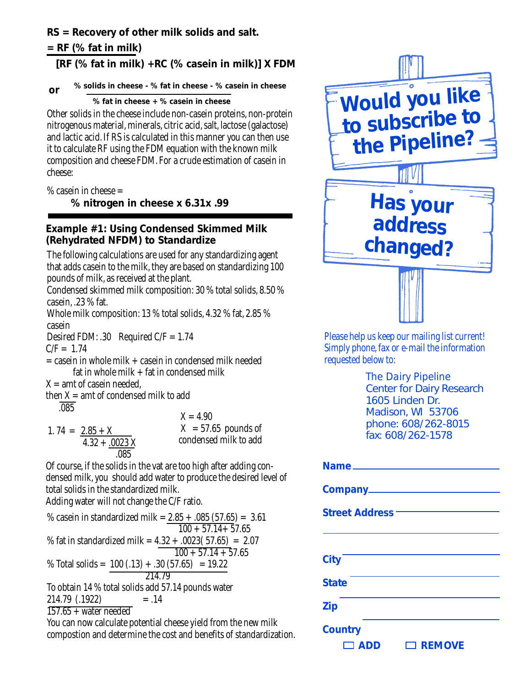### **RS = Recovery of other milk solids and salt.**

### **= RF (% fat in milk)**

### **[RF (% fat in milk) +RC (% casein in milk)] X FDM**

#### **% solids in cheese - % fat in cheese - % casein in cheese or**

 **% fat in cheese + % casein in cheese**

Other solids in the cheese include non-casein proteins, non-protein nitrogenous material, minerals, citric acid, salt, lactose (galactose) and lactic acid. If RS is calculated in this manner you can then use it to calculate RF using the FDM equation with the known milk composition and cheese FDM. For a crude estimation of casein in cheese:

 $%$  casein in cheese  $=$ 

 **% nitrogen in cheese x 6.31x .99**

### **Example #1: Using Condensed Skimmed Milk (Rehydrated NFDM) to Standardize**

The following calculations are used for any standardizing agent that adds casein to the milk, they are based on standardizing 100 pounds of milk, as received at the plant.

Condensed skimmed milk composition: 30 % total solids, 8.50 % casein, .23 % fat.

Whole milk composition: 13 % total solids, 4.32 % fat, 2.85 % casein

Desired FDM: .30 Required  $C/F = 1.74$ 

 $C/F = 1.74$ 

 $=$  casein in whole milk  $+$  casein in condensed milk needed fat in whole milk  $+$  fat in condensed milk

 $X =$ amt of casein needed.

then  $X =$  amt of condensed milk to add .085

$$
1.74 = \frac{2.85 + X}{4.32 + \frac{.0023 X}{.085}}
$$

 $X = 4.90$  $X = 57.65$  pounds of condensed milk to add

Of course, if the solids in the vat are too high after adding condensed milk, you should add water to produce the desired level of total solids in the standardized milk.

Adding water will not change the C/F ratio.

% casein in standardized milk =  $2.85 + .085$  (57.65) = 3.61  $100 + 57.14 + 57.65$ % fat in standardized milk =  $4.32 + .0023(57.65) = 2.07$  $100 + 57.14 + 57.65$ % Total solids =  $100(.13) + .30(.57.65) = 19.22$  214.79 To obtain 14 % total solids add 57.14 pounds water  $214.79$   $(.1922)$  = .14  $157.65 +$  water needed

You can now calculate potential cheese yield from the new milk compostion and determine the cost and benefits of standardization.



Please help us keep our mailing list current! Simply phone, fax or e-mail the information requested below to:

> *The Dairy Pipeline* Center for Dairy Research 1605 Linden Dr. Madison, WI 53706 phone: 608/262-8015 fax: 608/262-1578

| Name <sub>—</sub>              |
|--------------------------------|
|                                |
| <b>Street Address -</b>        |
|                                |
| <b>City</b>                    |
| <b>State</b>                   |
| <b>Zip</b>                     |
| <b>Country</b>                 |
| $\Box$ REMOVE<br>$\square$ ADD |